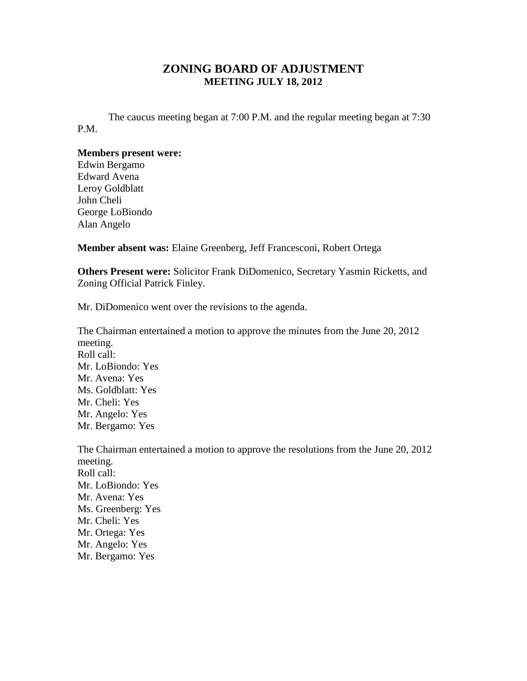## **ZONING BOARD OF ADJUSTMENT MEETING JULY 18, 2012**

The caucus meeting began at 7:00 P.M. and the regular meeting began at 7:30 P.M.

## **Members present were:**

Edwin Bergamo Edward Avena Leroy Goldblatt John Cheli George LoBiondo Alan Angelo

**Member absent was:** Elaine Greenberg, Jeff Francesconi, Robert Ortega

**Others Present were:** Solicitor Frank DiDomenico, Secretary Yasmin Ricketts, and Zoning Official Patrick Finley.

Mr. DiDomenico went over the revisions to the agenda.

The Chairman entertained a motion to approve the minutes from the June 20, 2012 meeting. Roll call: Mr. LoBiondo: Yes Mr. Avena: Yes Ms. Goldblatt: Yes Mr. Cheli: Yes Mr. Angelo: Yes Mr. Bergamo: Yes

The Chairman entertained a motion to approve the resolutions from the June 20, 2012 meeting. Roll call: Mr. LoBiondo: Yes Mr. Avena: Yes Ms. Greenberg: Yes Mr. Cheli: Yes Mr. Ortega: Yes Mr. Angelo: Yes Mr. Bergamo: Yes